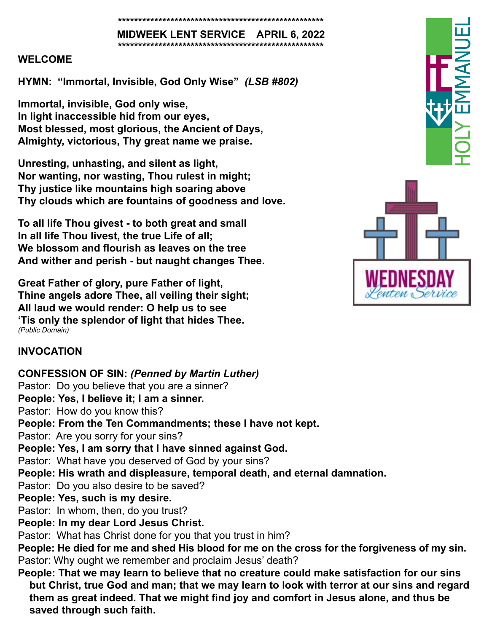#### **\*\*\*\*\*\*\*\*\*\*\*\*\*\*\*\*\*\*\*\*\*\*\*\*\*\*\*\*\*\*\*\*\*\*\*\*\*\*\*\*\*\*\*\*\*\*\*\*\*\*\***

**MIDWEEK LENT SERVICE APRIL 6, 2022 \*\*\*\*\*\*\*\*\*\*\*\*\*\*\*\*\*\*\*\*\*\*\*\*\*\*\*\*\*\*\*\*\*\*\*\*\*\*\*\*\*\*\*\*\*\*\*\*\*\*\***

#### **WELCOME**

**HYMN: "Immortal, Invisible, God Only Wise"** *(LSB #802)*

**Immortal, invisible, God only wise, In light inaccessible hid from our eyes, Most blessed, most glorious, the Ancient of Days, Almighty, victorious, Thy great name we praise.**

**Unresting, unhasting, and silent as light, Nor wanting, nor wasting, Thou rulest in might; Thy justice like mountains high soaring above Thy clouds which are fountains of goodness and love.**

**To all life Thou givest - to both great and small In all life Thou livest, the true Life of all; We blossom and flourish as leaves on the tree And wither and perish - but naught changes Thee.**

**Great Father of glory, pure Father of light, Thine angels adore Thee, all veiling their sight; All laud we would render: O help us to see 'Tis only the splendor of light that hides Thee.** *(Public Domain)*

## **INVOCATION**

**saved through such faith.**

**CONFESSION OF SIN:** *(Penned by Martin Luther)* Pastor: Do you believe that you are a sinner? **People: Yes, I believe it; I am a sinner.** Pastor: How do you know this? **People: From the Ten Commandments; these I have not kept.** Pastor: Are you sorry for your sins? **People: Yes, I am sorry that I have sinned against God.** Pastor: What have you deserved of God by your sins? **People: His wrath and displeasure, temporal death, and eternal damnation.** Pastor: Do you also desire to be saved? **People: Yes, such is my desire.** Pastor: In whom, then, do you trust? **People: In my dear Lord Jesus Christ.** Pastor: What has Christ done for you that you trust in him? **People: He died for me and shed His blood for me on the cross for the forgiveness of my sin.** Pastor: Why ought we remember and proclaim Jesus' death? **People: That we may learn to believe that no creature could make satisfaction for our sins but Christ, true God and man; that we may learn to look with terror at our sins and regard them as great indeed. That we might find joy and comfort in Jesus alone, and thus be** 

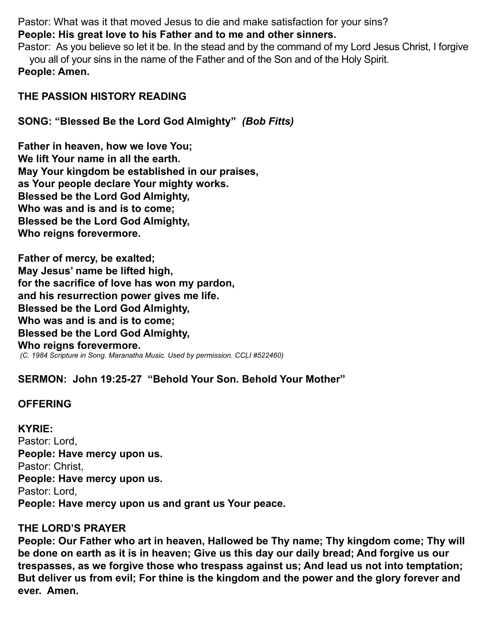Pastor: What was it that moved Jesus to die and make satisfaction for your sins? **People: His great love to his Father and to me and other sinners.**

Pastor: As you believe so let it be. In the stead and by the command of my Lord Jesus Christ, I forgive you all of your sins in the name of the Father and of the Son and of the Holy Spirit. **People: Amen.** 

## **THE PASSION HISTORY READING**

# **SONG: "Blessed Be the Lord God Almighty"** *(Bob Fitts)*

**Father in heaven, how we love You; We lift Your name in all the earth. May Your kingdom be established in our praises, as Your people declare Your mighty works. Blessed be the Lord God Almighty, Who was and is and is to come; Blessed be the Lord God Almighty, Who reigns forevermore.**

**Father of mercy, be exalted; May Jesus' name be lifted high, for the sacrifice of love has won my pardon, and his resurrection power gives me life. Blessed be the Lord God Almighty, Who was and is and is to come; Blessed be the Lord God Almighty, Who reigns forevermore.**  *(C. 1984 Scripture in Song. Maranatha Music. Used by permission. CCLI #522460)*

# **SERMON: John 19:25-27 "Behold Your Son. Behold Your Mother"**

## **OFFERING**

**KYRIE:** Pastor: Lord, **People: Have mercy upon us.** Pastor: Christ, **People: Have mercy upon us.**  Pastor: Lord, **People: Have mercy upon us and grant us Your peace.** 

## **THE LORD'S PRAYER**

**People: Our Father who art in heaven, Hallowed be Thy name; Thy kingdom come; Thy will be done on earth as it is in heaven; Give us this day our daily bread; And forgive us our trespasses, as we forgive those who trespass against us; And lead us not into temptation; But deliver us from evil; For thine is the kingdom and the power and the glory forever and ever. Amen.**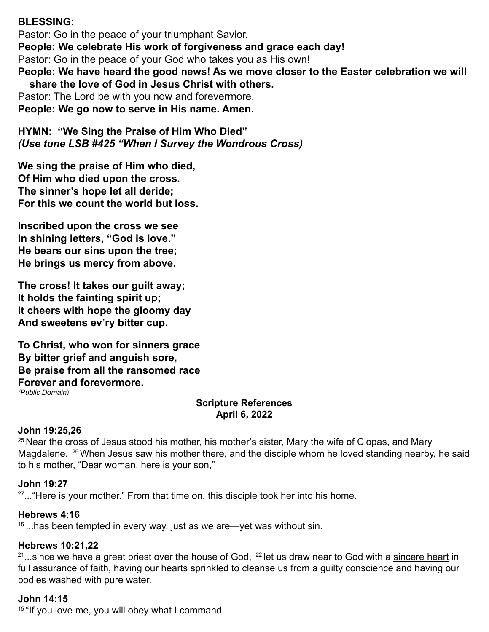## **BLESSING:**

Pastor: Go in the peace of your triumphant Savior. **People: We celebrate His work of forgiveness and grace each day!** Pastor: Go in the peace of your God who takes you as His own! **People: We have heard the good news! As we move closer to the Easter celebration we will share the love of God in Jesus Christ with others.** Pastor: The Lord be with you now and forevermore.

**People: We go now to serve in His name. Amen.** 

**HYMN: "We Sing the Praise of Him Who Died"**  *(Use tune LSB #425 "When I Survey the Wondrous Cross)*

**We sing the praise of Him who died, Of Him who died upon the cross. The sinner's hope let all deride; For this we count the world but loss.**

**Inscribed upon the cross we see In shining letters, "God is love." He bears our sins upon the tree; He brings us mercy from above.**

**The cross! It takes our guilt away; It holds the fainting spirit up; It cheers with hope the gloomy day And sweetens ev'ry bitter cup.**

**To Christ, who won for sinners grace By bitter grief and anguish sore, Be praise from all the ransomed race Forever and forevermore.** *(Public Domain)*

#### **Scripture References April 6, 2022**

#### **John 19:25,26**

 $25$  Near the cross of Jesus stood his mother, his mother's sister, Mary the wife of Clopas, and Mary Magdalene. <sup>26</sup> When Jesus saw his mother there, and the disciple whom he loved standing nearby, he said to his mother, "Dear woman, here is your son,"

#### **John 19:27**

 $27...$  "Here is your mother." From that time on, this disciple took her into his home.

#### **Hebrews 4:16**

 $15$ ...has been tempted in every way, just as we are—yet was without sin.

#### **Hebrews 10:21,22**

 $21$ ...since we have a great priest over the house of God,  $22$  let us draw near to God with a sincere heart in full assurance of faith, having our hearts sprinkled to cleanse us from a guilty conscience and having our bodies washed with pure water.

#### **John 14:15**

<sup>15</sup> "If you love me, you will obey what I command.